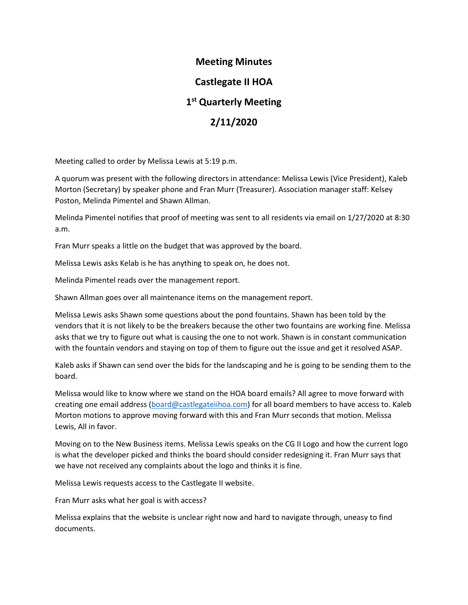### **Meeting Minutes**

## **Castlegate II HOA**

## **1 st Quarterly Meeting**

## **2/11/2020**

Meeting called to order by Melissa Lewis at 5:19 p.m.

A quorum was present with the following directors in attendance: Melissa Lewis (Vice President), Kaleb Morton (Secretary) by speaker phone and Fran Murr (Treasurer). Association manager staff: Kelsey Poston, Melinda Pimentel and Shawn Allman.

Melinda Pimentel notifies that proof of meeting was sent to all residents via email on 1/27/2020 at 8:30 a.m.

Fran Murr speaks a little on the budget that was approved by the board.

Melissa Lewis asks Kelab is he has anything to speak on, he does not.

Melinda Pimentel reads over the management report.

Shawn Allman goes over all maintenance items on the management report.

Melissa Lewis asks Shawn some questions about the pond fountains. Shawn has been told by the vendors that it is not likely to be the breakers because the other two fountains are working fine. Melissa asks that we try to figure out what is causing the one to not work. Shawn is in constant communication with the fountain vendors and staying on top of them to figure out the issue and get it resolved ASAP.

Kaleb asks if Shawn can send over the bids for the landscaping and he is going to be sending them to the board.

Melissa would like to know where we stand on the HOA board emails? All agree to move forward with creating one email address [\(board@castlegateiihoa.com\)](mailto:board@castlegateiihoa.com) for all board members to have access to. Kaleb Morton motions to approve moving forward with this and Fran Murr seconds that motion. Melissa Lewis, All in favor.

Moving on to the New Business items. Melissa Lewis speaks on the CG II Logo and how the current logo is what the developer picked and thinks the board should consider redesigning it. Fran Murr says that we have not received any complaints about the logo and thinks it is fine.

Melissa Lewis requests access to the Castlegate II website.

Fran Murr asks what her goal is with access?

Melissa explains that the website is unclear right now and hard to navigate through, uneasy to find documents.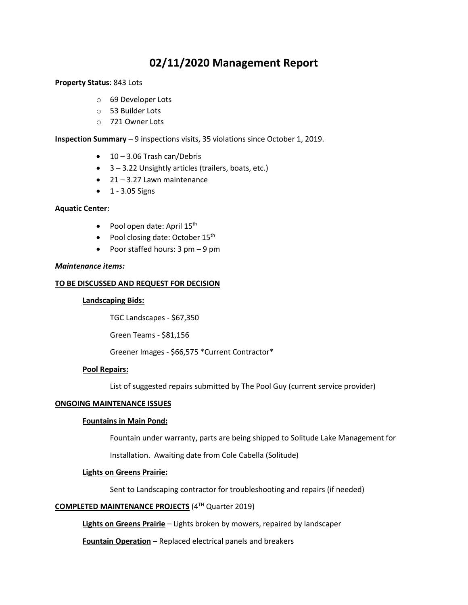# **02/11/2020 Management Report**

#### **Property Status**: 843 Lots

- o 69 Developer Lots
- o 53 Builder Lots
- o 721 Owner Lots

**Inspection Summary** – 9 inspections visits, 35 violations since October 1, 2019.

- $\bullet$  10 3.06 Trash can/Debris
- 3 3.22 Unsightly articles (trailers, boats, etc.)
- $\bullet$  21 3.27 Lawn maintenance
- $\bullet$  1 3.05 Signs

#### **Aquatic Center:**

- Pool open date: April  $15<sup>th</sup>$
- Pool closing date: October  $15<sup>th</sup>$
- Poor staffed hours: 3 pm 9 pm

#### *Maintenance items:*

#### **TO BE DISCUSSED AND REQUEST FOR DECISION**

#### **Landscaping Bids:**

TGC Landscapes - \$67,350

Green Teams - \$81,156

Greener Images - \$66,575 \*Current Contractor\*

#### **Pool Repairs:**

List of suggested repairs submitted by The Pool Guy (current service provider)

#### **ONGOING MAINTENANCE ISSUES**

#### **Fountains in Main Pond:**

Fountain under warranty, parts are being shipped to Solitude Lake Management for

Installation. Awaiting date from Cole Cabella (Solitude)

#### **Lights on Greens Prairie:**

Sent to Landscaping contractor for troubleshooting and repairs (if needed)

#### **COMPLETED MAINTENANCE PROJECTS** (4TH Quarter 2019)

**Lights on Greens Prairie** – Lights broken by mowers, repaired by landscaper

**Fountain Operation** – Replaced electrical panels and breakers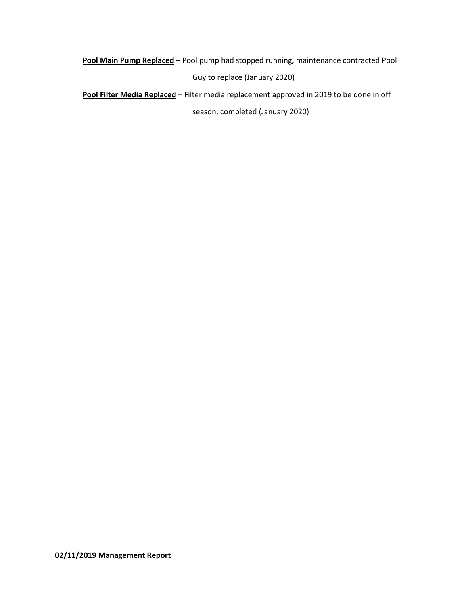**Pool Main Pump Replaced** – Pool pump had stopped running, maintenance contracted Pool Guy to replace (January 2020)

**Pool Filter Media Replaced** – Filter media replacement approved in 2019 to be done in off

season, completed (January 2020)